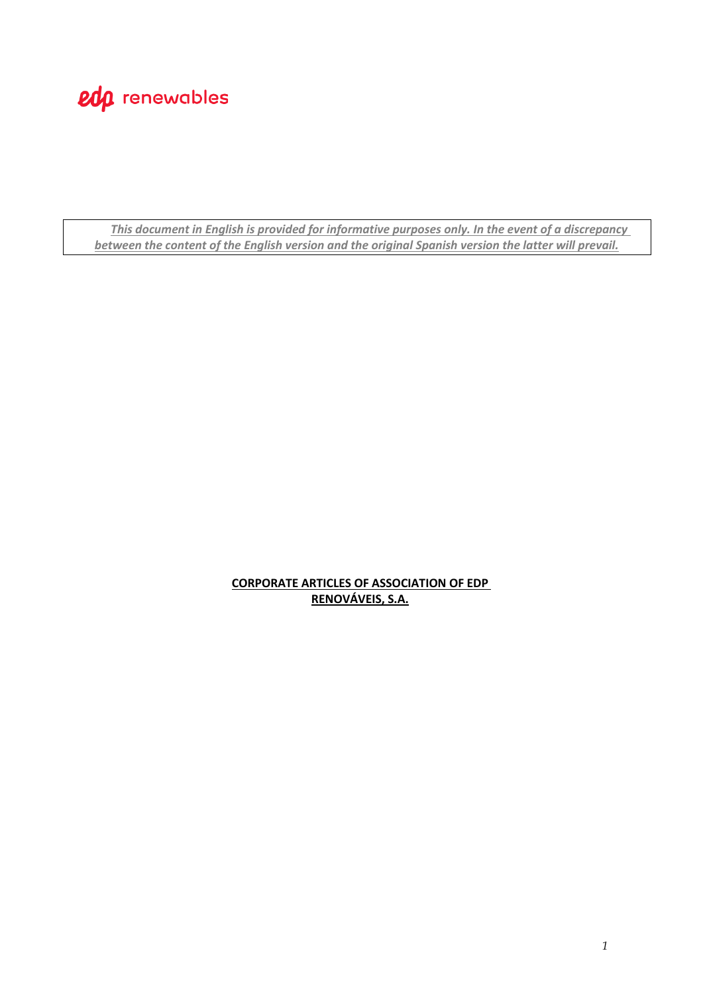*This document in English is provided for informative purposes only. In the event of a discrepancy between the content of the English version and the original Spanish version the latter will prevail.*

> **CORPORATE ARTICLES OF ASSOCIATION OF EDP RENOVÁVEIS, S.A.**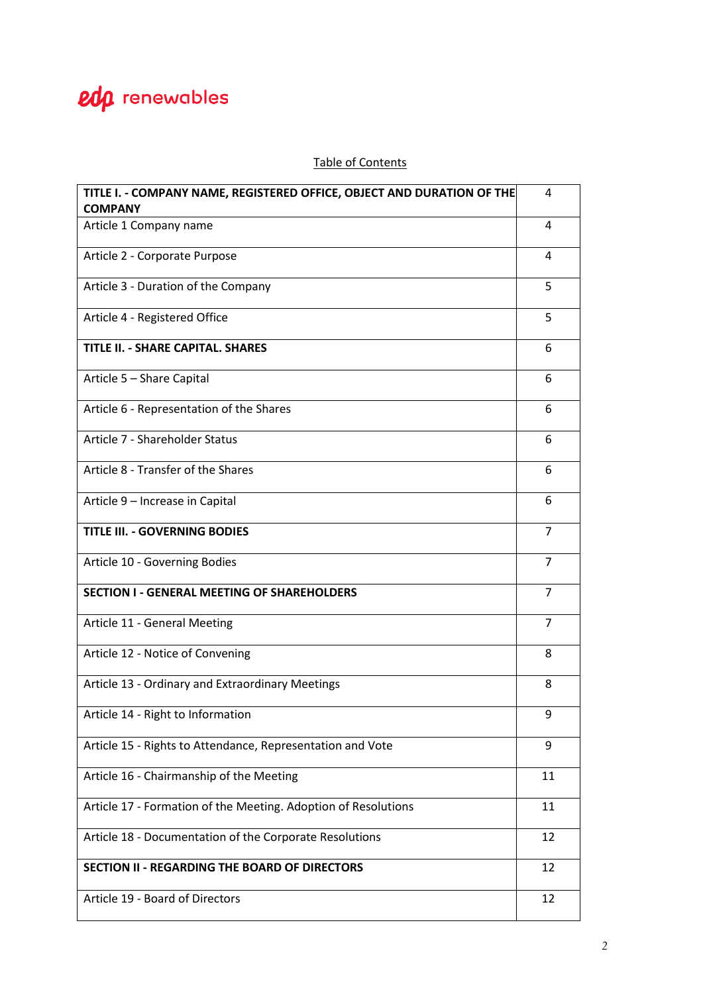| TITLE I. - COMPANY NAME, REGISTERED OFFICE, OBJECT AND DURATION OF THE<br><b>COMPANY</b> | 4              |
|------------------------------------------------------------------------------------------|----------------|
| Article 1 Company name                                                                   | 4              |
| Article 2 - Corporate Purpose                                                            | 4              |
| Article 3 - Duration of the Company                                                      | 5              |
| Article 4 - Registered Office                                                            | 5              |
| <b>TITLE II. - SHARE CAPITAL. SHARES</b>                                                 | 6              |
| Article 5 - Share Capital                                                                | 6              |
| Article 6 - Representation of the Shares                                                 | 6              |
| Article 7 - Shareholder Status                                                           | 6              |
| Article 8 - Transfer of the Shares                                                       | 6              |
| Article 9 - Increase in Capital                                                          | 6              |
| <b>TITLE III. - GOVERNING BODIES</b>                                                     | 7              |
| Article 10 - Governing Bodies                                                            | $\overline{7}$ |
| <b>SECTION I - GENERAL MEETING OF SHAREHOLDERS</b>                                       | 7              |
| Article 11 - General Meeting                                                             | $\overline{7}$ |
| Article 12 - Notice of Convening                                                         | 8              |
| Article 13 - Ordinary and Extraordinary Meetings                                         | 8              |
| Article 14 - Right to Information                                                        | 9              |
| Article 15 - Rights to Attendance, Representation and Vote                               | 9              |
| Article 16 - Chairmanship of the Meeting                                                 | 11             |
| Article 17 - Formation of the Meeting. Adoption of Resolutions                           | 11             |
| Article 18 - Documentation of the Corporate Resolutions                                  | 12             |
| SECTION II - REGARDING THE BOARD OF DIRECTORS                                            | 12             |
| Article 19 - Board of Directors                                                          | 12             |

#### Table of Contents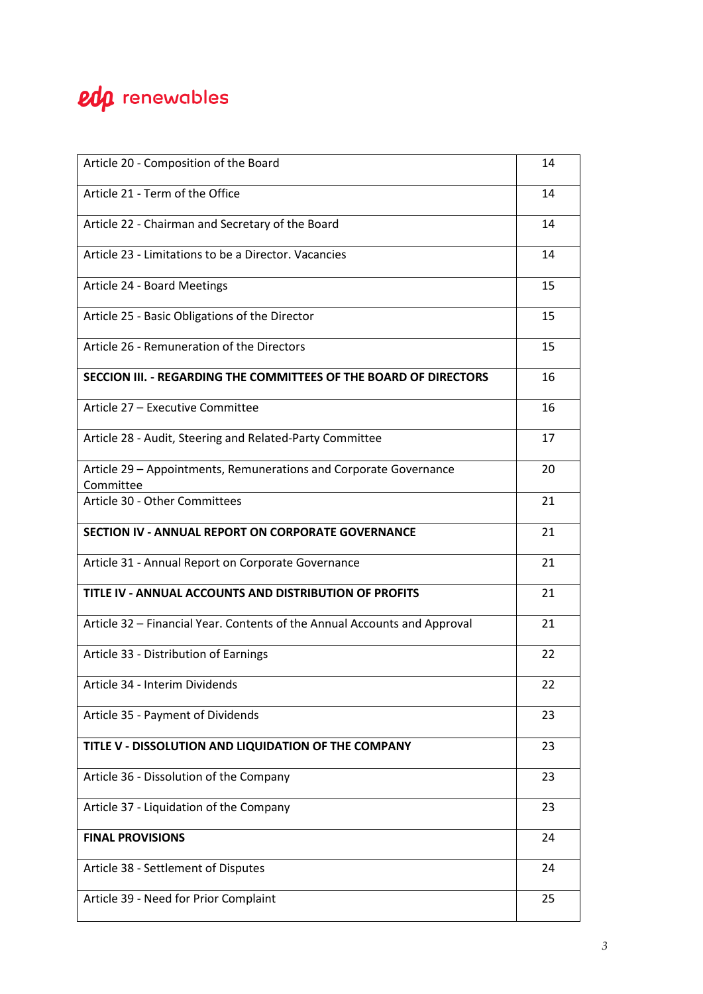| Article 20 - Composition of the Board                                          | 14 |
|--------------------------------------------------------------------------------|----|
| Article 21 - Term of the Office                                                | 14 |
| Article 22 - Chairman and Secretary of the Board                               | 14 |
| Article 23 - Limitations to be a Director. Vacancies                           | 14 |
| Article 24 - Board Meetings                                                    | 15 |
| Article 25 - Basic Obligations of the Director                                 | 15 |
| Article 26 - Remuneration of the Directors                                     | 15 |
| SECCION III. - REGARDING THE COMMITTEES OF THE BOARD OF DIRECTORS              | 16 |
| Article 27 - Executive Committee                                               | 16 |
| Article 28 - Audit, Steering and Related-Party Committee                       | 17 |
| Article 29 - Appointments, Remunerations and Corporate Governance<br>Committee | 20 |
| Article 30 - Other Committees                                                  | 21 |
| <b>SECTION IV - ANNUAL REPORT ON CORPORATE GOVERNANCE</b>                      | 21 |
| Article 31 - Annual Report on Corporate Governance                             | 21 |
| TITLE IV - ANNUAL ACCOUNTS AND DISTRIBUTION OF PROFITS                         | 21 |
| Article 32 – Financial Year. Contents of the Annual Accounts and Approval      | 21 |
| Article 33 - Distribution of Earnings                                          | 22 |
| Article 34 - Interim Dividends                                                 | 22 |
| Article 35 - Payment of Dividends                                              | 23 |
| TITLE V - DISSOLUTION AND LIQUIDATION OF THE COMPANY                           | 23 |
| Article 36 - Dissolution of the Company                                        | 23 |
| Article 37 - Liquidation of the Company                                        | 23 |
| <b>FINAL PROVISIONS</b>                                                        | 24 |
| Article 38 - Settlement of Disputes                                            | 24 |
| Article 39 - Need for Prior Complaint                                          | 25 |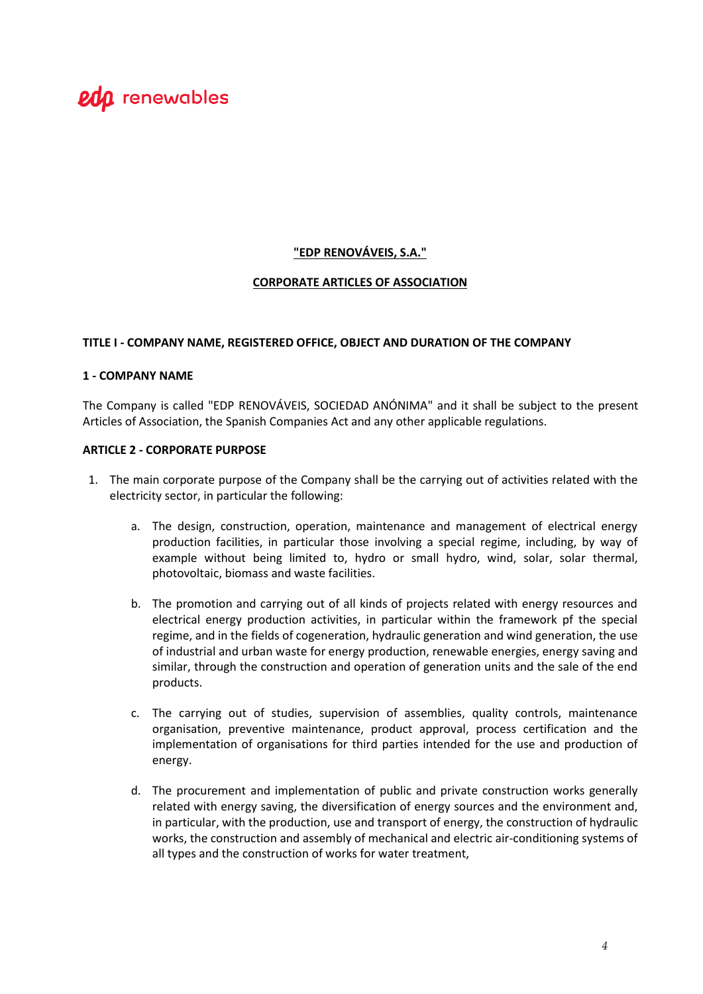#### **"EDP RENOVÁVEIS, S.A."**

#### **CORPORATE ARTICLES OF ASSOCIATION**

#### **TITLE I - COMPANY NAME, REGISTERED OFFICE, OBJECT AND DURATION OF THE COMPANY**

#### **1 - COMPANY NAME**

The Company is called "EDP RENOVÁVEIS, SOCIEDAD ANÓNIMA" and it shall be subject to the present Articles of Association, the Spanish Companies Act and any other applicable regulations.

#### **ARTICLE 2 - CORPORATE PURPOSE**

- 1. The main corporate purpose of the Company shall be the carrying out of activities related with the electricity sector, in particular the following:
	- a. The design, construction, operation, maintenance and management of electrical energy production facilities, in particular those involving a special regime, including, by way of example without being limited to, hydro or small hydro, wind, solar, solar thermal, photovoltaic, biomass and waste facilities.
	- b. The promotion and carrying out of all kinds of projects related with energy resources and electrical energy production activities, in particular within the framework pf the special regime, and in the fields of cogeneration, hydraulic generation and wind generation, the use of industrial and urban waste for energy production, renewable energies, energy saving and similar, through the construction and operation of generation units and the sale of the end products.
	- c. The carrying out of studies, supervision of assemblies, quality controls, maintenance organisation, preventive maintenance, product approval, process certification and the implementation of organisations for third parties intended for the use and production of energy.
	- d. The procurement and implementation of public and private construction works generally related with energy saving, the diversification of energy sources and the environment and, in particular, with the production, use and transport of energy, the construction of hydraulic works, the construction and assembly of mechanical and electric air-conditioning systems of all types and the construction of works for water treatment,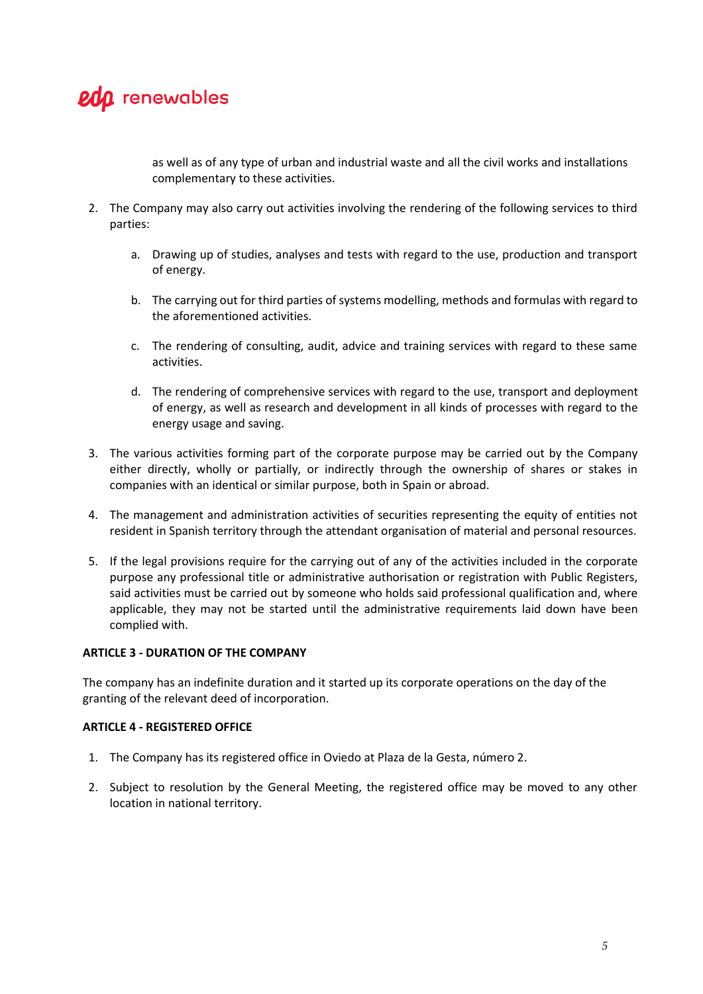as well as of any type of urban and industrial waste and all the civil works and installations complementary to these activities.

- 2. The Company may also carry out activities involving the rendering of the following services to third parties:
	- a. Drawing up of studies, analyses and tests with regard to the use, production and transport of energy.
	- b. The carrying out for third parties of systems modelling, methods and formulas with regard to the aforementioned activities.
	- c. The rendering of consulting, audit, advice and training services with regard to these same activities.
	- d. The rendering of comprehensive services with regard to the use, transport and deployment of energy, as well as research and development in all kinds of processes with regard to the energy usage and saving.
- 3. The various activities forming part of the corporate purpose may be carried out by the Company either directly, wholly or partially, or indirectly through the ownership of shares or stakes in companies with an identical or similar purpose, both in Spain or abroad.
- 4. The management and administration activities of securities representing the equity of entities not resident in Spanish territory through the attendant organisation of material and personal resources.
- 5. If the legal provisions require for the carrying out of any of the activities included in the corporate purpose any professional title or administrative authorisation or registration with Public Registers, said activities must be carried out by someone who holds said professional qualification and, where applicable, they may not be started until the administrative requirements laid down have been complied with.

#### **ARTICLE 3 - DURATION OF THE COMPANY**

The company has an indefinite duration and it started up its corporate operations on the day of the granting of the relevant deed of incorporation.

#### **ARTICLE 4 - REGISTERED OFFICE**

- 1. The Company has its registered office in Oviedo at Plaza de la Gesta, número 2.
- 2. Subject to resolution by the General Meeting, the registered office may be moved to any other location in national territory.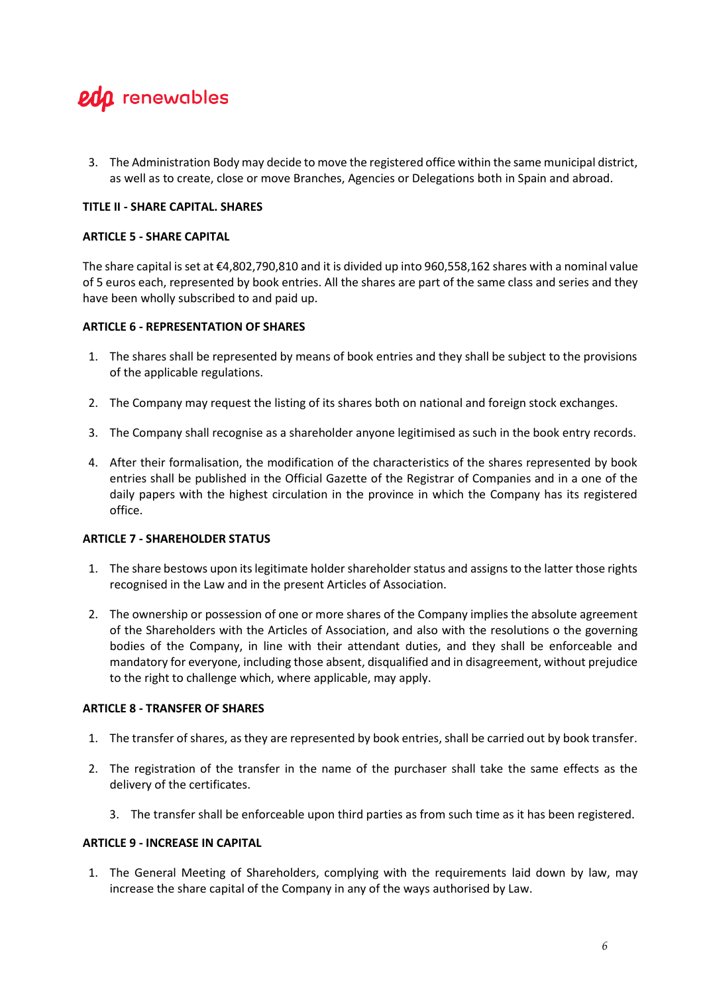3. The Administration Body may decide to move the registered office within the same municipal district, as well as to create, close or move Branches, Agencies or Delegations both in Spain and abroad.

#### **TITLE II - SHARE CAPITAL. SHARES**

#### **ARTICLE 5 - SHARE CAPITAL**

The share capital is set at €4,802,790,810 and it is divided up into 960,558,162 shares with a nominal value of 5 euros each, represented by book entries. All the shares are part of the same class and series and they have been wholly subscribed to and paid up.

#### **ARTICLE 6 - REPRESENTATION OF SHARES**

- 1. The shares shall be represented by means of book entries and they shall be subject to the provisions of the applicable regulations.
- 2. The Company may request the listing of its shares both on national and foreign stock exchanges.
- 3. The Company shall recognise as a shareholder anyone legitimised as such in the book entry records.
- 4. After their formalisation, the modification of the characteristics of the shares represented by book entries shall be published in the Official Gazette of the Registrar of Companies and in a one of the daily papers with the highest circulation in the province in which the Company has its registered office.

#### **ARTICLE 7 - SHAREHOLDER STATUS**

- 1. The share bestows upon its legitimate holder shareholder status and assigns to the latter those rights recognised in the Law and in the present Articles of Association.
- 2. The ownership or possession of one or more shares of the Company implies the absolute agreement of the Shareholders with the Articles of Association, and also with the resolutions o the governing bodies of the Company, in line with their attendant duties, and they shall be enforceable and mandatory for everyone, including those absent, disqualified and in disagreement, without prejudice to the right to challenge which, where applicable, may apply.

#### **ARTICLE 8 - TRANSFER OF SHARES**

- 1. The transfer of shares, as they are represented by book entries, shall be carried out by book transfer.
- 2. The registration of the transfer in the name of the purchaser shall take the same effects as the delivery of the certificates.
	- 3. The transfer shall be enforceable upon third parties as from such time as it has been registered.

#### **ARTICLE 9 - INCREASE IN CAPITAL**

1. The General Meeting of Shareholders, complying with the requirements laid down by law, may increase the share capital of the Company in any of the ways authorised by Law.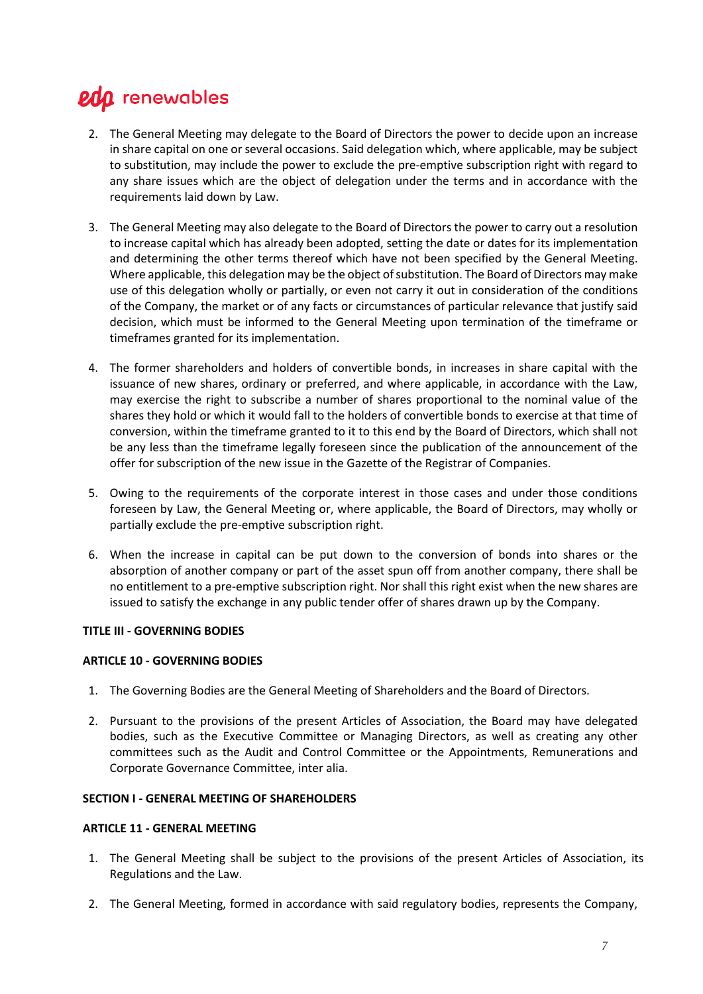- 2. The General Meeting may delegate to the Board of Directors the power to decide upon an increase in share capital on one or several occasions. Said delegation which, where applicable, may be subject to substitution, may include the power to exclude the pre-emptive subscription right with regard to any share issues which are the object of delegation under the terms and in accordance with the requirements laid down by Law.
- 3. The General Meeting may also delegate to the Board of Directors the power to carry out a resolution to increase capital which has already been adopted, setting the date or dates for its implementation and determining the other terms thereof which have not been specified by the General Meeting. Where applicable, this delegation may be the object of substitution. The Board of Directors may make use of this delegation wholly or partially, or even not carry it out in consideration of the conditions of the Company, the market or of any facts or circumstances of particular relevance that justify said decision, which must be informed to the General Meeting upon termination of the timeframe or timeframes granted for its implementation.
- 4. The former shareholders and holders of convertible bonds, in increases in share capital with the issuance of new shares, ordinary or preferred, and where applicable, in accordance with the Law, may exercise the right to subscribe a number of shares proportional to the nominal value of the shares they hold or which it would fall to the holders of convertible bonds to exercise at that time of conversion, within the timeframe granted to it to this end by the Board of Directors, which shall not be any less than the timeframe legally foreseen since the publication of the announcement of the offer for subscription of the new issue in the Gazette of the Registrar of Companies.
- 5. Owing to the requirements of the corporate interest in those cases and under those conditions foreseen by Law, the General Meeting or, where applicable, the Board of Directors, may wholly or partially exclude the pre-emptive subscription right.
- 6. When the increase in capital can be put down to the conversion of bonds into shares or the absorption of another company or part of the asset spun off from another company, there shall be no entitlement to a pre-emptive subscription right. Nor shall this right exist when the new shares are issued to satisfy the exchange in any public tender offer of shares drawn up by the Company.

#### **TITLE III - GOVERNING BODIES**

#### **ARTICLE 10 - GOVERNING BODIES**

- 1. The Governing Bodies are the General Meeting of Shareholders and the Board of Directors.
- 2. Pursuant to the provisions of the present Articles of Association, the Board may have delegated bodies, such as the Executive Committee or Managing Directors, as well as creating any other committees such as the Audit and Control Committee or the Appointments, Remunerations and Corporate Governance Committee, inter alia.

#### **SECTION I - GENERAL MEETING OF SHAREHOLDERS**

#### **ARTICLE 11 - GENERAL MEETING**

- 1. The General Meeting shall be subject to the provisions of the present Articles of Association, its Regulations and the Law.
- 2. The General Meeting, formed in accordance with said regulatory bodies, represents the Company,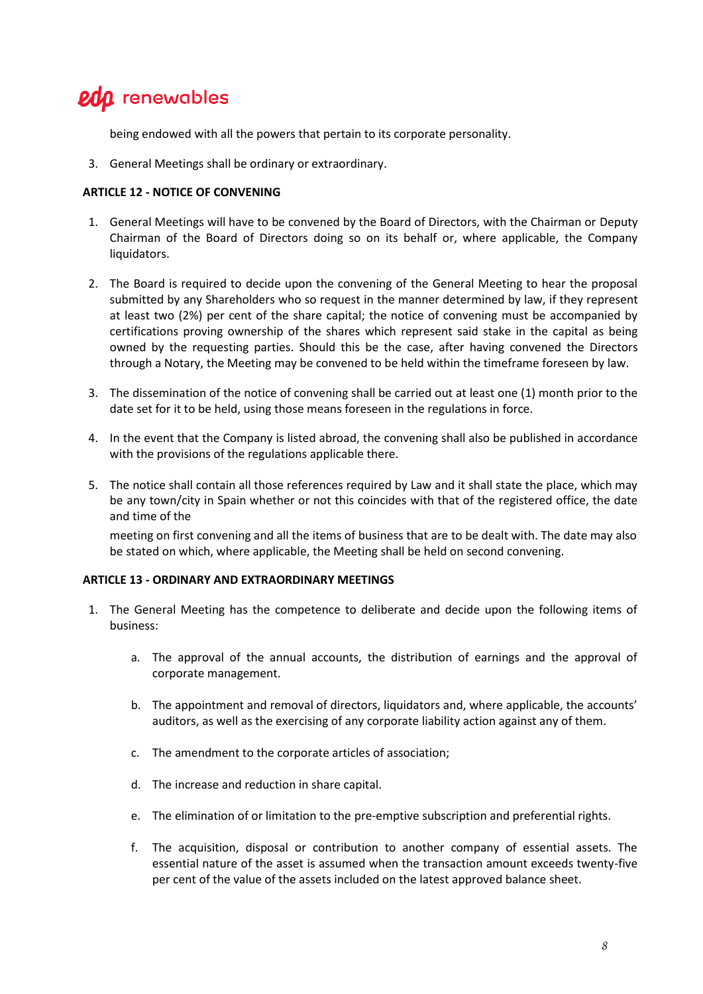being endowed with all the powers that pertain to its corporate personality.

3. General Meetings shall be ordinary or extraordinary.

#### **ARTICLE 12 - NOTICE OF CONVENING**

- 1. General Meetings will have to be convened by the Board of Directors, with the Chairman or Deputy Chairman of the Board of Directors doing so on its behalf or, where applicable, the Company liquidators.
- 2. The Board is required to decide upon the convening of the General Meeting to hear the proposal submitted by any Shareholders who so request in the manner determined by law, if they represent at least two (2%) per cent of the share capital; the notice of convening must be accompanied by certifications proving ownership of the shares which represent said stake in the capital as being owned by the requesting parties. Should this be the case, after having convened the Directors through a Notary, the Meeting may be convened to be held within the timeframe foreseen by law.
- 3. The dissemination of the notice of convening shall be carried out at least one (1) month prior to the date set for it to be held, using those means foreseen in the regulations in force.
- 4. In the event that the Company is listed abroad, the convening shall also be published in accordance with the provisions of the regulations applicable there.
- 5. The notice shall contain all those references required by Law and it shall state the place, which may be any town/city in Spain whether or not this coincides with that of the registered office, the date and time of the

meeting on first convening and all the items of business that are to be dealt with. The date may also be stated on which, where applicable, the Meeting shall be held on second convening.

#### **ARTICLE 13 - ORDINARY AND EXTRAORDINARY MEETINGS**

- 1. The General Meeting has the competence to deliberate and decide upon the following items of business:
	- a. The approval of the annual accounts, the distribution of earnings and the approval of corporate management.
	- b. The appointment and removal of directors, liquidators and, where applicable, the accounts' auditors, as well as the exercising of any corporate liability action against any of them.
	- c. The amendment to the corporate articles of association;
	- d. The increase and reduction in share capital.
	- e. The elimination of or limitation to the pre-emptive subscription and preferential rights.
	- f. The acquisition, disposal or contribution to another company of essential assets. The essential nature of the asset is assumed when the transaction amount exceeds twenty-five per cent of the value of the assets included on the latest approved balance sheet.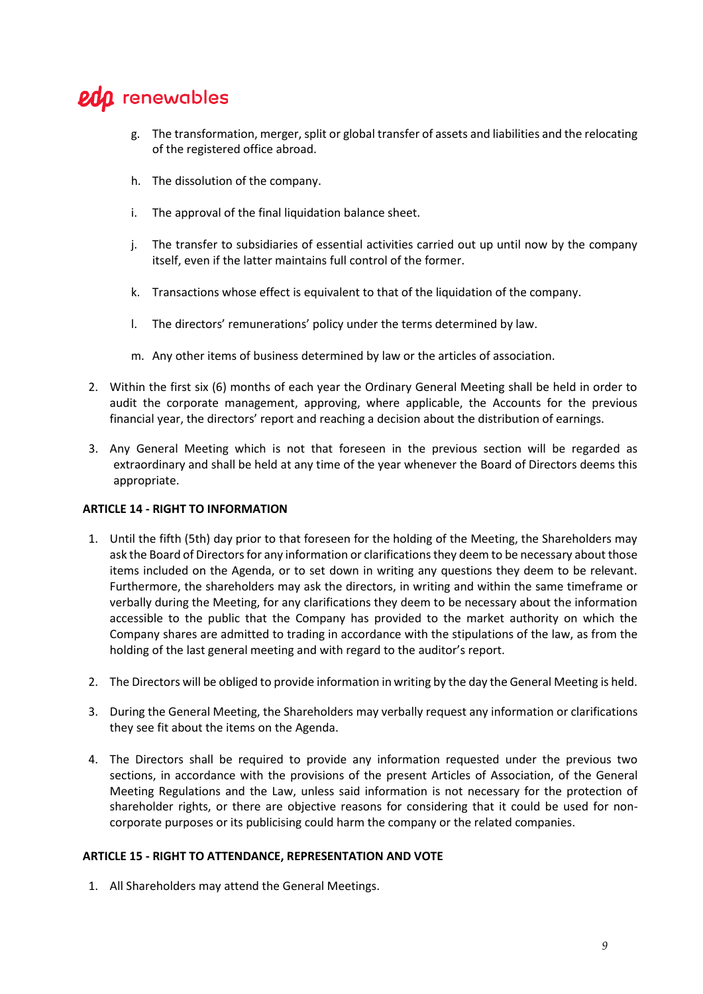- g. The transformation, merger, split or global transfer of assets and liabilities and the relocating of the registered office abroad.
- h. The dissolution of the company.
- i. The approval of the final liquidation balance sheet.
- j. The transfer to subsidiaries of essential activities carried out up until now by the company itself, even if the latter maintains full control of the former.
- k. Transactions whose effect is equivalent to that of the liquidation of the company.
- l. The directors' remunerations' policy under the terms determined by law.
- m. Any other items of business determined by law or the articles of association.
- 2. Within the first six (6) months of each year the Ordinary General Meeting shall be held in order to audit the corporate management, approving, where applicable, the Accounts for the previous financial year, the directors' report and reaching a decision about the distribution of earnings.
- 3. Any General Meeting which is not that foreseen in the previous section will be regarded as extraordinary and shall be held at any time of the year whenever the Board of Directors deems this appropriate.

#### **ARTICLE 14 - RIGHT TO INFORMATION**

- 1. Until the fifth (5th) day prior to that foreseen for the holding of the Meeting, the Shareholders may ask the Board of Directors for any information or clarifications they deem to be necessary about those items included on the Agenda, or to set down in writing any questions they deem to be relevant. Furthermore, the shareholders may ask the directors, in writing and within the same timeframe or verbally during the Meeting, for any clarifications they deem to be necessary about the information accessible to the public that the Company has provided to the market authority on which the Company shares are admitted to trading in accordance with the stipulations of the law, as from the holding of the last general meeting and with regard to the auditor's report.
- 2. The Directors will be obliged to provide information in writing by the day the General Meeting is held.
- 3. During the General Meeting, the Shareholders may verbally request any information or clarifications they see fit about the items on the Agenda.
- 4. The Directors shall be required to provide any information requested under the previous two sections, in accordance with the provisions of the present Articles of Association, of the General Meeting Regulations and the Law, unless said information is not necessary for the protection of shareholder rights, or there are objective reasons for considering that it could be used for noncorporate purposes or its publicising could harm the company or the related companies.

#### **ARTICLE 15 - RIGHT TO ATTENDANCE, REPRESENTATION AND VOTE**

1. All Shareholders may attend the General Meetings.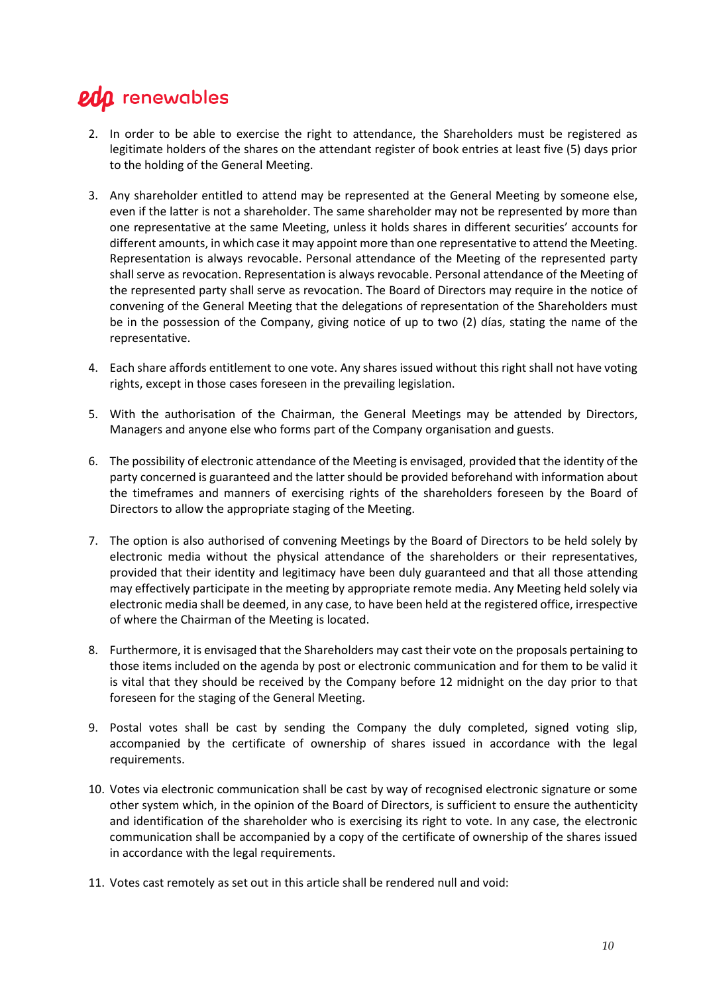- 2. In order to be able to exercise the right to attendance, the Shareholders must be registered as legitimate holders of the shares on the attendant register of book entries at least five (5) days prior to the holding of the General Meeting.
- 3. Any shareholder entitled to attend may be represented at the General Meeting by someone else, even if the latter is not a shareholder. The same shareholder may not be represented by more than one representative at the same Meeting, unless it holds shares in different securities' accounts for different amounts, in which case it may appoint more than one representative to attend the Meeting. Representation is always revocable. Personal attendance of the Meeting of the represented party shall serve as revocation. Representation is always revocable. Personal attendance of the Meeting of the represented party shall serve as revocation. The Board of Directors may require in the notice of convening of the General Meeting that the delegations of representation of the Shareholders must be in the possession of the Company, giving notice of up to two (2) días, stating the name of the representative.
- 4. Each share affords entitlement to one vote. Any shares issued without this right shall not have voting rights, except in those cases foreseen in the prevailing legislation.
- 5. With the authorisation of the Chairman, the General Meetings may be attended by Directors, Managers and anyone else who forms part of the Company organisation and guests.
- 6. The possibility of electronic attendance of the Meeting is envisaged, provided that the identity of the party concerned is guaranteed and the latter should be provided beforehand with information about the timeframes and manners of exercising rights of the shareholders foreseen by the Board of Directors to allow the appropriate staging of the Meeting.
- 7. The option is also authorised of convening Meetings by the Board of Directors to be held solely by electronic media without the physical attendance of the shareholders or their representatives, provided that their identity and legitimacy have been duly guaranteed and that all those attending may effectively participate in the meeting by appropriate remote media. Any Meeting held solely via electronic media shall be deemed, in any case, to have been held at the registered office, irrespective of where the Chairman of the Meeting is located.
- 8. Furthermore, it is envisaged that the Shareholders may cast their vote on the proposals pertaining to those items included on the agenda by post or electronic communication and for them to be valid it is vital that they should be received by the Company before 12 midnight on the day prior to that foreseen for the staging of the General Meeting.
- 9. Postal votes shall be cast by sending the Company the duly completed, signed voting slip, accompanied by the certificate of ownership of shares issued in accordance with the legal requirements.
- 10. Votes via electronic communication shall be cast by way of recognised electronic signature or some other system which, in the opinion of the Board of Directors, is sufficient to ensure the authenticity and identification of the shareholder who is exercising its right to vote. In any case, the electronic communication shall be accompanied by a copy of the certificate of ownership of the shares issued in accordance with the legal requirements.
- 11. Votes cast remotely as set out in this article shall be rendered null and void: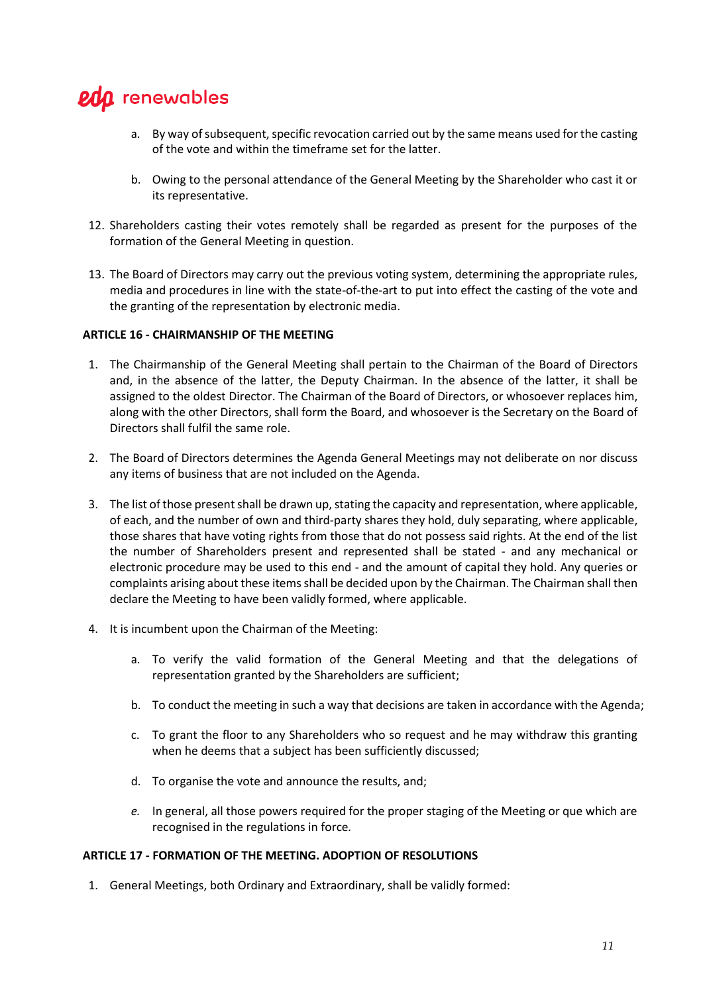- a. By way of subsequent, specific revocation carried out by the same means used for the casting of the vote and within the timeframe set for the latter.
- b. Owing to the personal attendance of the General Meeting by the Shareholder who cast it or its representative.
- 12. Shareholders casting their votes remotely shall be regarded as present for the purposes of the formation of the General Meeting in question.
- 13. The Board of Directors may carry out the previous voting system, determining the appropriate rules, media and procedures in line with the state-of-the-art to put into effect the casting of the vote and the granting of the representation by electronic media.

#### **ARTICLE 16 - CHAIRMANSHIP OF THE MEETING**

- 1. The Chairmanship of the General Meeting shall pertain to the Chairman of the Board of Directors and, in the absence of the latter, the Deputy Chairman. In the absence of the latter, it shall be assigned to the oldest Director. The Chairman of the Board of Directors, or whosoever replaces him, along with the other Directors, shall form the Board, and whosoever is the Secretary on the Board of Directors shall fulfil the same role.
- 2. The Board of Directors determines the Agenda General Meetings may not deliberate on nor discuss any items of business that are not included on the Agenda.
- 3. The list of those present shall be drawn up, stating the capacity and representation, where applicable, of each, and the number of own and third-party shares they hold, duly separating, where applicable, those shares that have voting rights from those that do not possess said rights. At the end of the list the number of Shareholders present and represented shall be stated - and any mechanical or electronic procedure may be used to this end - and the amount of capital they hold. Any queries or complaints arising about these items shall be decided upon by the Chairman. The Chairman shall then declare the Meeting to have been validly formed, where applicable.
- 4. It is incumbent upon the Chairman of the Meeting:
	- a. To verify the valid formation of the General Meeting and that the delegations of representation granted by the Shareholders are sufficient;
	- b. To conduct the meeting in such a way that decisions are taken in accordance with the Agenda;
	- c. To grant the floor to any Shareholders who so request and he may withdraw this granting when he deems that a subject has been sufficiently discussed;
	- d. To organise the vote and announce the results, and;
	- *e.* In general, all those powers required for the proper staging of the Meeting or que which are recognised in the regulations in force*.*

#### **ARTICLE 17 - FORMATION OF THE MEETING. ADOPTION OF RESOLUTIONS**

1. General Meetings, both Ordinary and Extraordinary, shall be validly formed: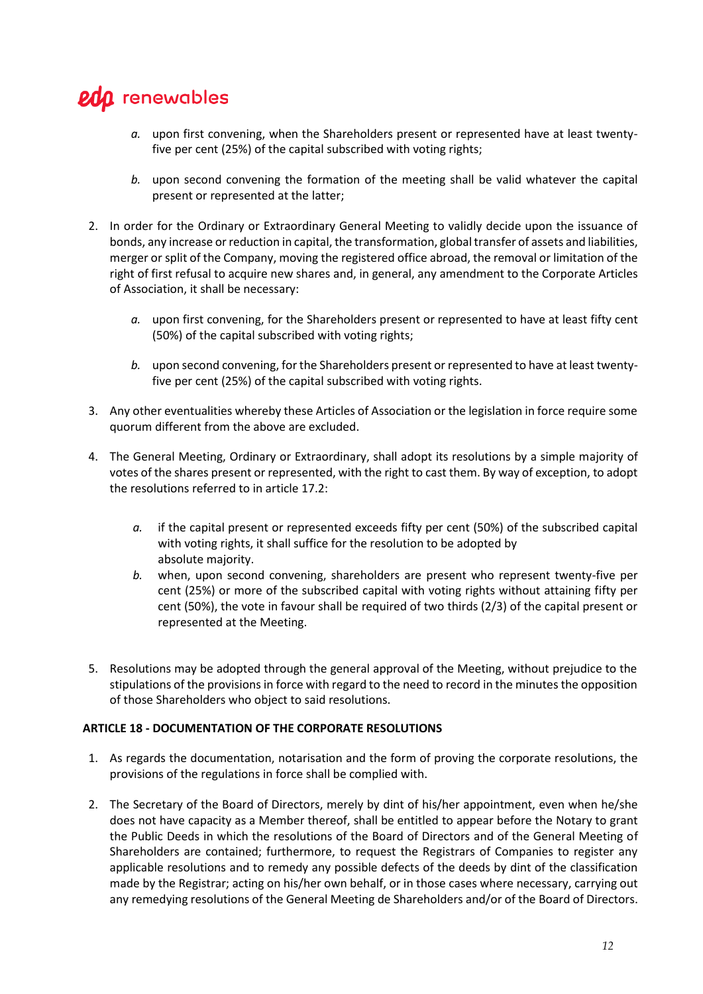- *a.* upon first convening, when the Shareholders present or represented have at least twentyfive per cent (25%) of the capital subscribed with voting rights;
- *b.* upon second convening the formation of the meeting shall be valid whatever the capital present or represented at the latter;
- 2. In order for the Ordinary or Extraordinary General Meeting to validly decide upon the issuance of bonds, any increase or reduction in capital, the transformation, global transfer of assets and liabilities, merger or split of the Company, moving the registered office abroad, the removal or limitation of the right of first refusal to acquire new shares and, in general, any amendment to the Corporate Articles of Association, it shall be necessary:
	- *a.* upon first convening, for the Shareholders present or represented to have at least fifty cent (50%) of the capital subscribed with voting rights;
	- *b.* upon second convening, for the Shareholders present or represented to have at least twentyfive per cent (25%) of the capital subscribed with voting rights.
- 3. Any other eventualities whereby these Articles of Association or the legislation in force require some quorum different from the above are excluded.
- 4. The General Meeting, Ordinary or Extraordinary, shall adopt its resolutions by a simple majority of votes of the shares present or represented, with the right to cast them. By way of exception, to adopt the resolutions referred to in article 17.2:
	- *a.* if the capital present or represented exceeds fifty per cent (50%) of the subscribed capital with voting rights, it shall suffice for the resolution to be adopted by absolute majority.
	- *b.* when, upon second convening, shareholders are present who represent twenty-five per cent (25%) or more of the subscribed capital with voting rights without attaining fifty per cent (50%), the vote in favour shall be required of two thirds (2/3) of the capital present or represented at the Meeting.
- 5. Resolutions may be adopted through the general approval of the Meeting, without prejudice to the stipulations of the provisions in force with regard to the need to record in the minutes the opposition of those Shareholders who object to said resolutions.

#### **ARTICLE 18 - DOCUMENTATION OF THE CORPORATE RESOLUTIONS**

- 1. As regards the documentation, notarisation and the form of proving the corporate resolutions, the provisions of the regulations in force shall be complied with.
- 2. The Secretary of the Board of Directors, merely by dint of his/her appointment, even when he/she does not have capacity as a Member thereof, shall be entitled to appear before the Notary to grant the Public Deeds in which the resolutions of the Board of Directors and of the General Meeting of Shareholders are contained; furthermore, to request the Registrars of Companies to register any applicable resolutions and to remedy any possible defects of the deeds by dint of the classification made by the Registrar; acting on his/her own behalf, or in those cases where necessary, carrying out any remedying resolutions of the General Meeting de Shareholders and/or of the Board of Directors.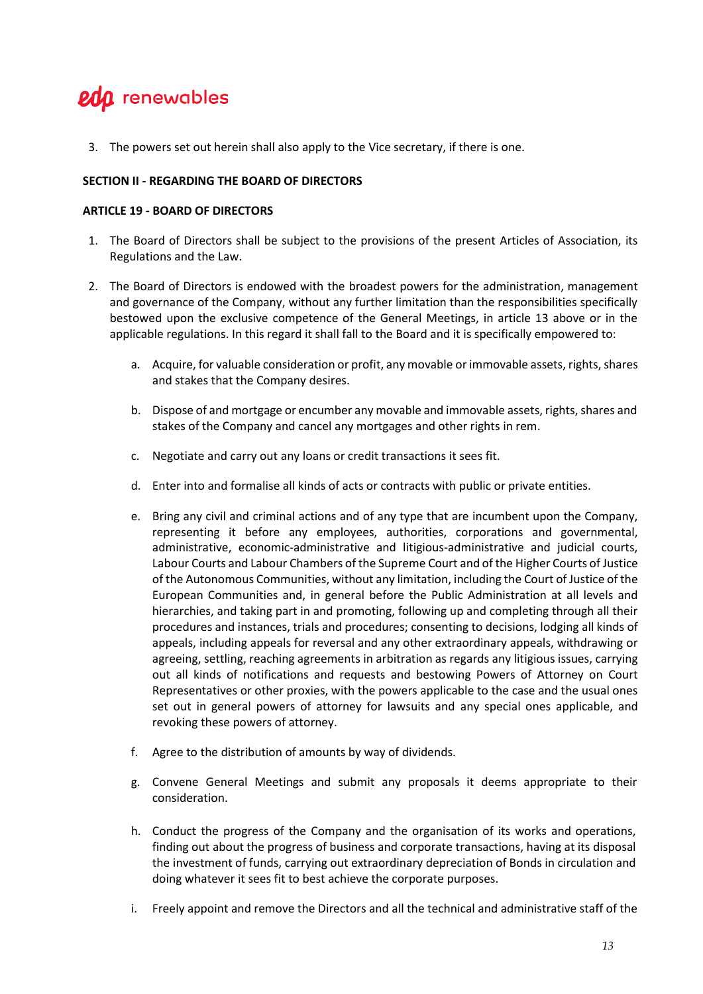3. The powers set out herein shall also apply to the Vice secretary, if there is one.

#### **SECTION II - REGARDING THE BOARD OF DIRECTORS**

#### **ARTICLE 19 - BOARD OF DIRECTORS**

- 1. The Board of Directors shall be subject to the provisions of the present Articles of Association, its Regulations and the Law.
- 2. The Board of Directors is endowed with the broadest powers for the administration, management and governance of the Company, without any further limitation than the responsibilities specifically bestowed upon the exclusive competence of the General Meetings, in article 13 above or in the applicable regulations. In this regard it shall fall to the Board and it is specifically empowered to:
	- a. Acquire, for valuable consideration or profit, any movable or immovable assets, rights, shares and stakes that the Company desires.
	- b. Dispose of and mortgage or encumber any movable and immovable assets, rights, shares and stakes of the Company and cancel any mortgages and other rights in rem.
	- c. Negotiate and carry out any loans or credit transactions it sees fit.
	- d. Enter into and formalise all kinds of acts or contracts with public or private entities.
	- e. Bring any civil and criminal actions and of any type that are incumbent upon the Company, representing it before any employees, authorities, corporations and governmental, administrative, economic-administrative and litigious-administrative and judicial courts, Labour Courts and Labour Chambers of the Supreme Court and of the Higher Courts of Justice of the Autonomous Communities, without any limitation, including the Court of Justice of the European Communities and, in general before the Public Administration at all levels and hierarchies, and taking part in and promoting, following up and completing through all their procedures and instances, trials and procedures; consenting to decisions, lodging all kinds of appeals, including appeals for reversal and any other extraordinary appeals, withdrawing or agreeing, settling, reaching agreements in arbitration as regards any litigious issues, carrying out all kinds of notifications and requests and bestowing Powers of Attorney on Court Representatives or other proxies, with the powers applicable to the case and the usual ones set out in general powers of attorney for lawsuits and any special ones applicable, and revoking these powers of attorney.
	- f. Agree to the distribution of amounts by way of dividends.
	- g. Convene General Meetings and submit any proposals it deems appropriate to their consideration.
	- h. Conduct the progress of the Company and the organisation of its works and operations, finding out about the progress of business and corporate transactions, having at its disposal the investment of funds, carrying out extraordinary depreciation of Bonds in circulation and doing whatever it sees fit to best achieve the corporate purposes.
	- i. Freely appoint and remove the Directors and all the technical and administrative staff of the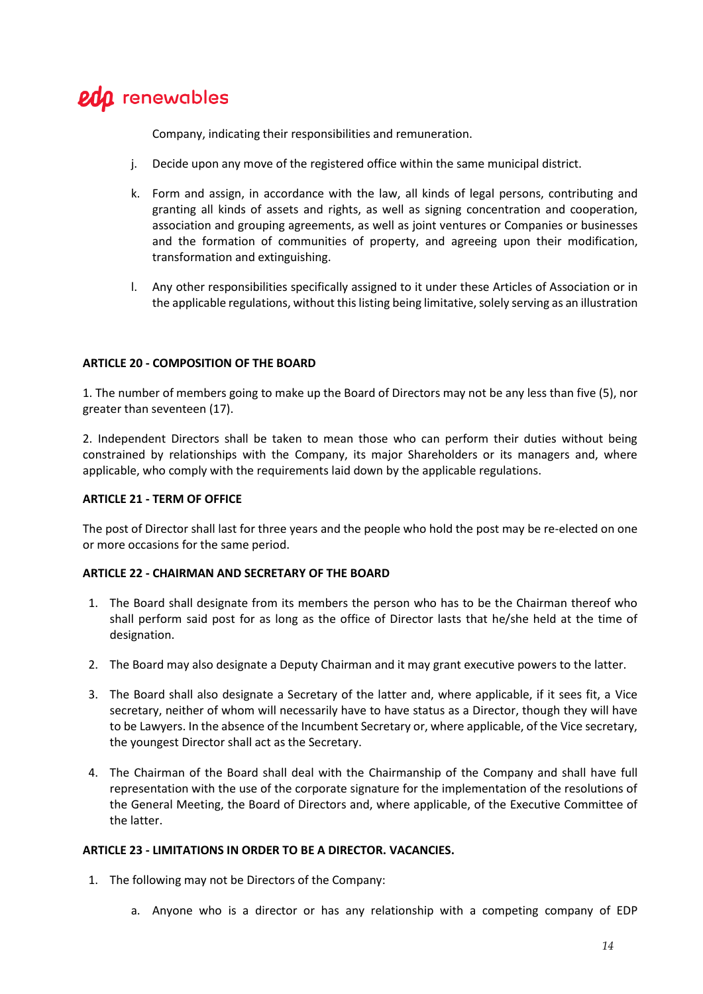Company, indicating their responsibilities and remuneration.

- j. Decide upon any move of the registered office within the same municipal district.
- k. Form and assign, in accordance with the law, all kinds of legal persons, contributing and granting all kinds of assets and rights, as well as signing concentration and cooperation, association and grouping agreements, as well as joint ventures or Companies or businesses and the formation of communities of property, and agreeing upon their modification, transformation and extinguishing.
- l. Any other responsibilities specifically assigned to it under these Articles of Association or in the applicable regulations, without this listing being limitative, solely serving as an illustration

#### **ARTICLE 20 - COMPOSITION OF THE BOARD**

1. The number of members going to make up the Board of Directors may not be any less than five (5), nor greater than seventeen (17).

2. Independent Directors shall be taken to mean those who can perform their duties without being constrained by relationships with the Company, its major Shareholders or its managers and, where applicable, who comply with the requirements laid down by the applicable regulations.

#### **ARTICLE 21 - TERM OF OFFICE**

The post of Director shall last for three years and the people who hold the post may be re-elected on one or more occasions for the same period.

#### **ARTICLE 22 - CHAIRMAN AND SECRETARY OF THE BOARD**

- 1. The Board shall designate from its members the person who has to be the Chairman thereof who shall perform said post for as long as the office of Director lasts that he/she held at the time of designation.
- 2. The Board may also designate a Deputy Chairman and it may grant executive powers to the latter.
- 3. The Board shall also designate a Secretary of the latter and, where applicable, if it sees fit, a Vice secretary, neither of whom will necessarily have to have status as a Director, though they will have to be Lawyers. In the absence of the Incumbent Secretary or, where applicable, of the Vice secretary, the youngest Director shall act as the Secretary.
- 4. The Chairman of the Board shall deal with the Chairmanship of the Company and shall have full representation with the use of the corporate signature for the implementation of the resolutions of the General Meeting, the Board of Directors and, where applicable, of the Executive Committee of the latter.

#### **ARTICLE 23 - LIMITATIONS IN ORDER TO BE A DIRECTOR. VACANCIES.**

- 1. The following may not be Directors of the Company:
	- a. Anyone who is a director or has any relationship with a competing company of EDP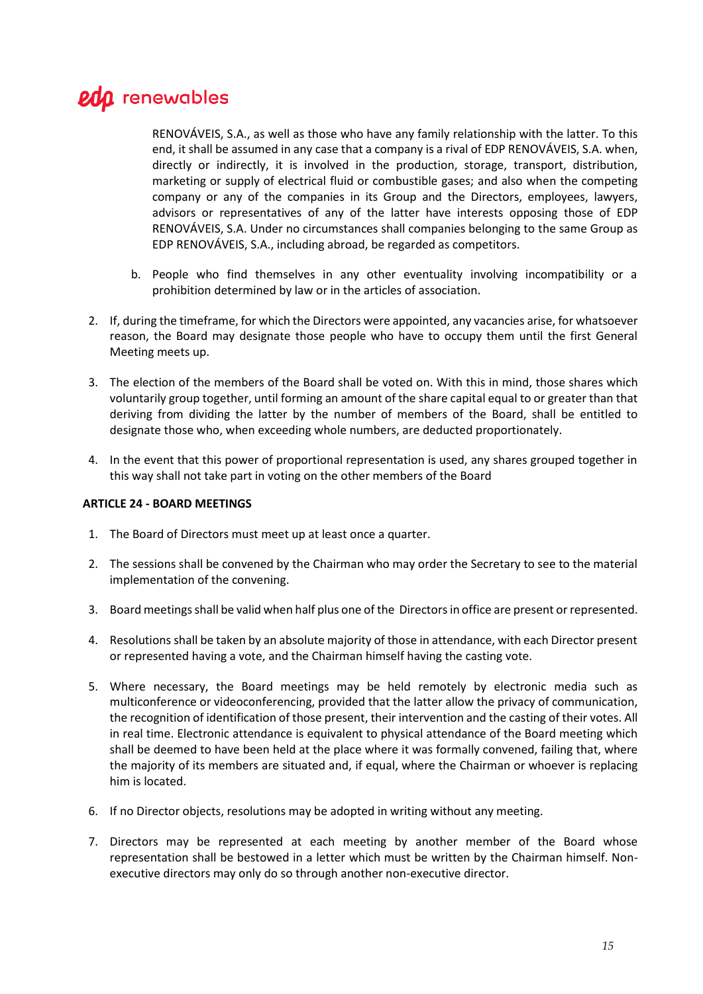RENOVÁVEIS, S.A., as well as those who have any family relationship with the latter. To this end, it shall be assumed in any case that a company is a rival of EDP RENOVÁVEIS, S.A. when, directly or indirectly, it is involved in the production, storage, transport, distribution, marketing or supply of electrical fluid or combustible gases; and also when the competing company or any of the companies in its Group and the Directors, employees, lawyers, advisors or representatives of any of the latter have interests opposing those of EDP RENOVÁVEIS, S.A. Under no circumstances shall companies belonging to the same Group as EDP RENOVÁVEIS, S.A., including abroad, be regarded as competitors.

- b. People who find themselves in any other eventuality involving incompatibility or a prohibition determined by law or in the articles of association.
- 2. If, during the timeframe, for which the Directors were appointed, any vacancies arise, for whatsoever reason, the Board may designate those people who have to occupy them until the first General Meeting meets up.
- 3. The election of the members of the Board shall be voted on. With this in mind, those shares which voluntarily group together, until forming an amount of the share capital equal to or greater than that deriving from dividing the latter by the number of members of the Board, shall be entitled to designate those who, when exceeding whole numbers, are deducted proportionately.
- 4. In the event that this power of proportional representation is used, any shares grouped together in this way shall not take part in voting on the other members of the Board

#### **ARTICLE 24 - BOARD MEETINGS**

- 1. The Board of Directors must meet up at least once a quarter.
- 2. The sessions shall be convened by the Chairman who may order the Secretary to see to the material implementation of the convening.
- 3. Board meetings shall be valid when half plus one of the Directors in office are present or represented.
- 4. Resolutions shall be taken by an absolute majority of those in attendance, with each Director present or represented having a vote, and the Chairman himself having the casting vote.
- 5. Where necessary, the Board meetings may be held remotely by electronic media such as multiconference or videoconferencing, provided that the latter allow the privacy of communication, the recognition of identification of those present, their intervention and the casting of their votes. All in real time. Electronic attendance is equivalent to physical attendance of the Board meeting which shall be deemed to have been held at the place where it was formally convened, failing that, where the majority of its members are situated and, if equal, where the Chairman or whoever is replacing him is located.
- 6. If no Director objects, resolutions may be adopted in writing without any meeting.
- 7. Directors may be represented at each meeting by another member of the Board whose representation shall be bestowed in a letter which must be written by the Chairman himself. Nonexecutive directors may only do so through another non-executive director.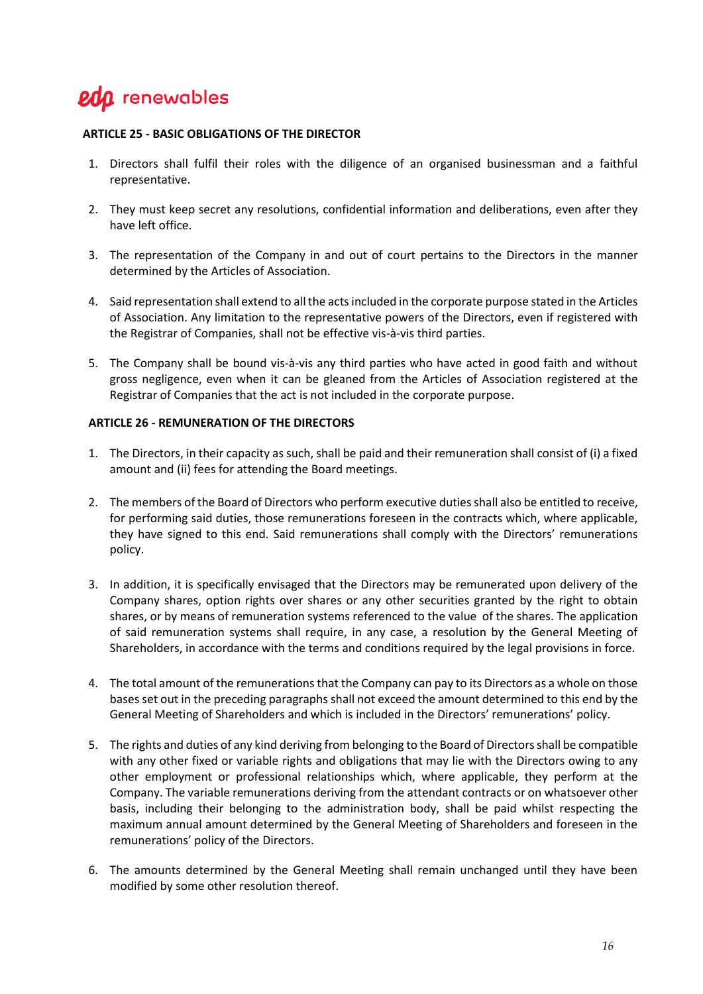#### **ARTICLE 25 - BASIC OBLIGATIONS OF THE DIRECTOR**

- 1. Directors shall fulfil their roles with the diligence of an organised businessman and a faithful representative.
- 2. They must keep secret any resolutions, confidential information and deliberations, even after they have left office.
- 3. The representation of the Company in and out of court pertains to the Directors in the manner determined by the Articles of Association.
- 4. Said representation shall extend to all the acts included in the corporate purpose stated in the Articles of Association. Any limitation to the representative powers of the Directors, even if registered with the Registrar of Companies, shall not be effective vis-à-vis third parties.
- 5. The Company shall be bound vis-à-vis any third parties who have acted in good faith and without gross negligence, even when it can be gleaned from the Articles of Association registered at the Registrar of Companies that the act is not included in the corporate purpose.

#### **ARTICLE 26 - REMUNERATION OF THE DIRECTORS**

- 1. The Directors, in their capacity as such, shall be paid and their remuneration shall consist of (i) a fixed amount and (ii) fees for attending the Board meetings.
- 2. The members of the Board of Directors who perform executive duties shall also be entitled to receive, for performing said duties, those remunerations foreseen in the contracts which, where applicable, they have signed to this end. Said remunerations shall comply with the Directors' remunerations policy.
- 3. In addition, it is specifically envisaged that the Directors may be remunerated upon delivery of the Company shares, option rights over shares or any other securities granted by the right to obtain shares, or by means of remuneration systems referenced to the value of the shares. The application of said remuneration systems shall require, in any case, a resolution by the General Meeting of Shareholders, in accordance with the terms and conditions required by the legal provisions in force.
- 4. The total amount of the remunerations that the Company can pay to its Directors as a whole on those bases set out in the preceding paragraphs shall not exceed the amount determined to this end by the General Meeting of Shareholders and which is included in the Directors' remunerations' policy.
- 5. The rights and duties of any kind deriving from belonging to the Board of Directors shall be compatible with any other fixed or variable rights and obligations that may lie with the Directors owing to any other employment or professional relationships which, where applicable, they perform at the Company. The variable remunerations deriving from the attendant contracts or on whatsoever other basis, including their belonging to the administration body, shall be paid whilst respecting the maximum annual amount determined by the General Meeting of Shareholders and foreseen in the remunerations' policy of the Directors.
- 6. The amounts determined by the General Meeting shall remain unchanged until they have been modified by some other resolution thereof.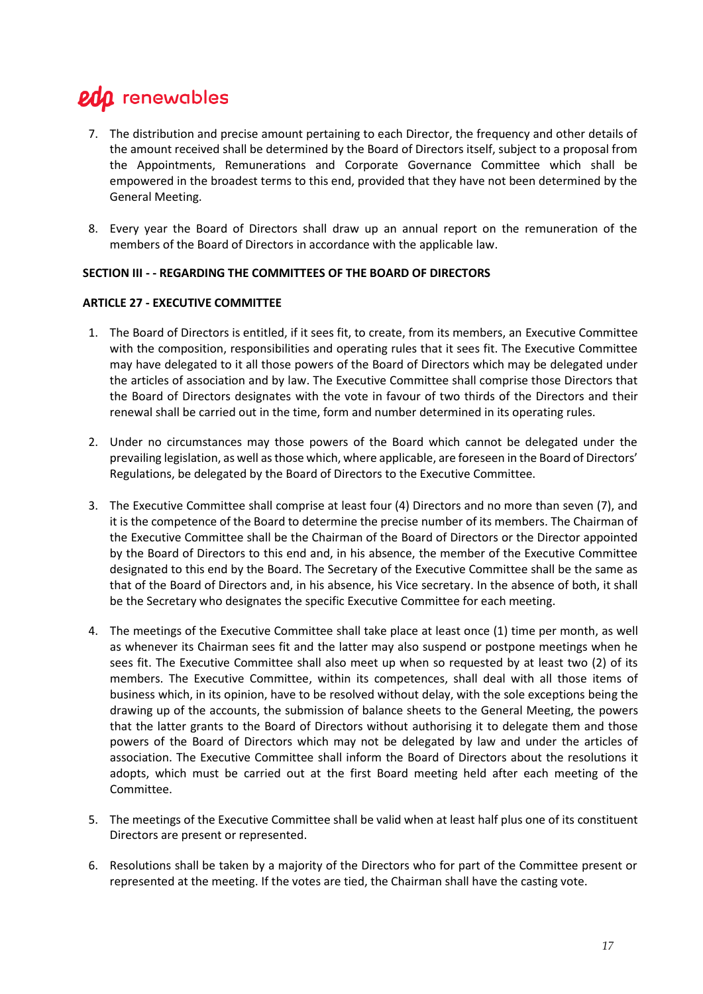- 7. The distribution and precise amount pertaining to each Director, the frequency and other details of the amount received shall be determined by the Board of Directors itself, subject to a proposal from the Appointments, Remunerations and Corporate Governance Committee which shall be empowered in the broadest terms to this end, provided that they have not been determined by the General Meeting.
- 8. Every year the Board of Directors shall draw up an annual report on the remuneration of the members of the Board of Directors in accordance with the applicable law.

#### **SECTION III - - REGARDING THE COMMITTEES OF THE BOARD OF DIRECTORS**

#### **ARTICLE 27 - EXECUTIVE COMMITTEE**

- 1. The Board of Directors is entitled, if it sees fit, to create, from its members, an Executive Committee with the composition, responsibilities and operating rules that it sees fit. The Executive Committee may have delegated to it all those powers of the Board of Directors which may be delegated under the articles of association and by law. The Executive Committee shall comprise those Directors that the Board of Directors designates with the vote in favour of two thirds of the Directors and their renewal shall be carried out in the time, form and number determined in its operating rules.
- 2. Under no circumstances may those powers of the Board which cannot be delegated under the prevailing legislation, as well as those which, where applicable, are foreseen in the Board of Directors' Regulations, be delegated by the Board of Directors to the Executive Committee.
- 3. The Executive Committee shall comprise at least four (4) Directors and no more than seven (7), and it is the competence of the Board to determine the precise number of its members. The Chairman of the Executive Committee shall be the Chairman of the Board of Directors or the Director appointed by the Board of Directors to this end and, in his absence, the member of the Executive Committee designated to this end by the Board. The Secretary of the Executive Committee shall be the same as that of the Board of Directors and, in his absence, his Vice secretary. In the absence of both, it shall be the Secretary who designates the specific Executive Committee for each meeting.
- 4. The meetings of the Executive Committee shall take place at least once (1) time per month, as well as whenever its Chairman sees fit and the latter may also suspend or postpone meetings when he sees fit. The Executive Committee shall also meet up when so requested by at least two (2) of its members. The Executive Committee, within its competences, shall deal with all those items of business which, in its opinion, have to be resolved without delay, with the sole exceptions being the drawing up of the accounts, the submission of balance sheets to the General Meeting, the powers that the latter grants to the Board of Directors without authorising it to delegate them and those powers of the Board of Directors which may not be delegated by law and under the articles of association. The Executive Committee shall inform the Board of Directors about the resolutions it adopts, which must be carried out at the first Board meeting held after each meeting of the Committee.
- 5. The meetings of the Executive Committee shall be valid when at least half plus one of its constituent Directors are present or represented.
- 6. Resolutions shall be taken by a majority of the Directors who for part of the Committee present or represented at the meeting. If the votes are tied, the Chairman shall have the casting vote.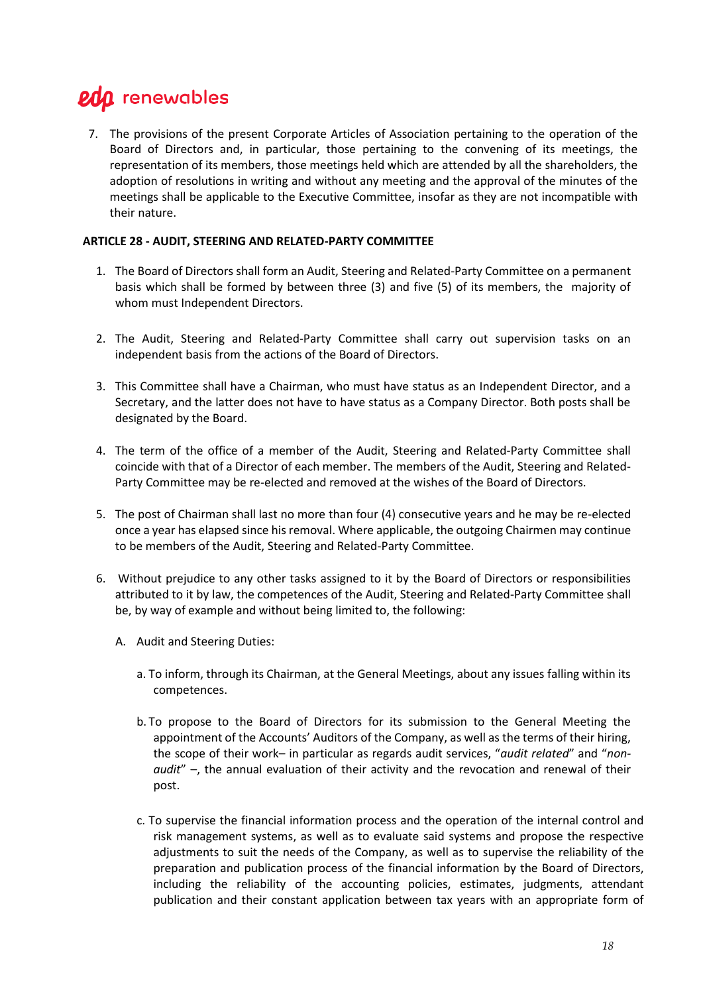7. The provisions of the present Corporate Articles of Association pertaining to the operation of the Board of Directors and, in particular, those pertaining to the convening of its meetings, the representation of its members, those meetings held which are attended by all the shareholders, the adoption of resolutions in writing and without any meeting and the approval of the minutes of the meetings shall be applicable to the Executive Committee, insofar as they are not incompatible with their nature.

#### **ARTICLE 28 - AUDIT, STEERING AND RELATED-PARTY COMMITTEE**

- 1. The Board of Directors shall form an Audit, Steering and Related-Party Committee on a permanent basis which shall be formed by between three (3) and five (5) of its members, the majority of whom must Independent Directors.
- 2. The Audit, Steering and Related-Party Committee shall carry out supervision tasks on an independent basis from the actions of the Board of Directors.
- 3. This Committee shall have a Chairman, who must have status as an Independent Director, and a Secretary, and the latter does not have to have status as a Company Director. Both posts shall be designated by the Board.
- 4. The term of the office of a member of the Audit, Steering and Related-Party Committee shall coincide with that of a Director of each member. The members of the Audit, Steering and Related-Party Committee may be re-elected and removed at the wishes of the Board of Directors.
- 5. The post of Chairman shall last no more than four (4) consecutive years and he may be re-elected once a year has elapsed since his removal. Where applicable, the outgoing Chairmen may continue to be members of the Audit, Steering and Related-Party Committee.
- 6. Without prejudice to any other tasks assigned to it by the Board of Directors or responsibilities attributed to it by law, the competences of the Audit, Steering and Related-Party Committee shall be, by way of example and without being limited to, the following:
	- A. Audit and Steering Duties:
		- a. To inform, through its Chairman, at the General Meetings, about any issues falling within its competences.
		- b. To propose to the Board of Directors for its submission to the General Meeting the appointment of the Accounts' Auditors of the Company, as well as the terms of their hiring, the scope of their work– in particular as regards audit services, "*audit related*" and "*nonaudit*" –, the annual evaluation of their activity and the revocation and renewal of their post.
		- c. To supervise the financial information process and the operation of the internal control and risk management systems, as well as to evaluate said systems and propose the respective adjustments to suit the needs of the Company, as well as to supervise the reliability of the preparation and publication process of the financial information by the Board of Directors, including the reliability of the accounting policies, estimates, judgments, attendant publication and their constant application between tax years with an appropriate form of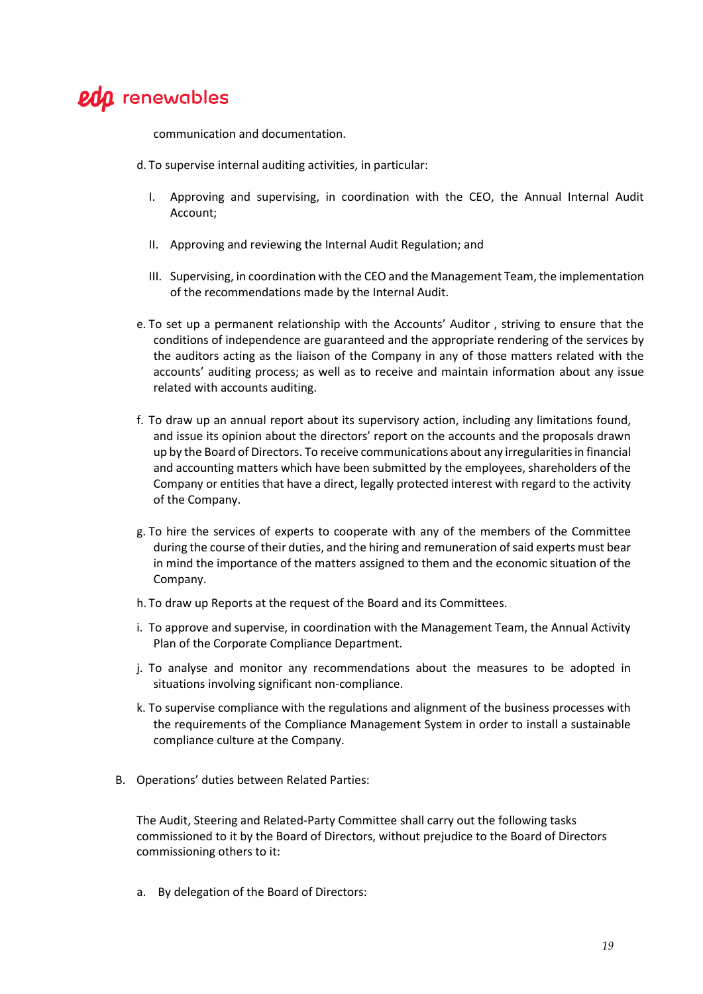communication and documentation.

- d. To supervise internal auditing activities, in particular:
	- I. Approving and supervising, in coordination with the CEO, the Annual Internal Audit Account;
	- II. Approving and reviewing the Internal Audit Regulation; and
	- III. Supervising, in coordination with the CEO and the Management Team, the implementation of the recommendations made by the Internal Audit.
- e. To set up a permanent relationship with the Accounts' Auditor , striving to ensure that the conditions of independence are guaranteed and the appropriate rendering of the services by the auditors acting as the liaison of the Company in any of those matters related with the accounts' auditing process; as well as to receive and maintain information about any issue related with accounts auditing.
- f. To draw up an annual report about its supervisory action, including any limitations found, and issue its opinion about the directors' report on the accounts and the proposals drawn up by the Board of Directors. To receive communications about any irregularities in financial and accounting matters which have been submitted by the employees, shareholders of the Company or entities that have a direct, legally protected interest with regard to the activity of the Company.
- g. To hire the services of experts to cooperate with any of the members of the Committee during the course of their duties, and the hiring and remuneration of said experts must bear in mind the importance of the matters assigned to them and the economic situation of the Company.
- h. To draw up Reports at the request of the Board and its Committees.
- i. To approve and supervise, in coordination with the Management Team, the Annual Activity Plan of the Corporate Compliance Department.
- j. To analyse and monitor any recommendations about the measures to be adopted in situations involving significant non-compliance.
- k. To supervise compliance with the regulations and alignment of the business processes with the requirements of the Compliance Management System in order to install a sustainable compliance culture at the Company.
- B. Operations' duties between Related Parties:

The Audit, Steering and Related-Party Committee shall carry out the following tasks commissioned to it by the Board of Directors, without prejudice to the Board of Directors commissioning others to it:

a. By delegation of the Board of Directors: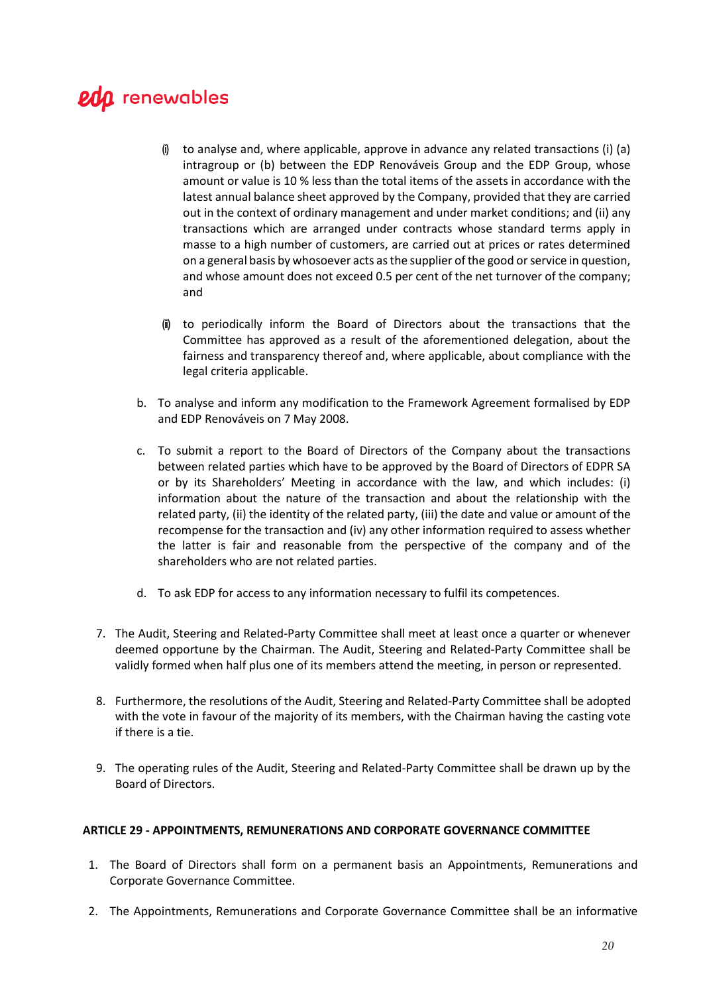- $(i)$  to analyse and, where applicable, approve in advance any related transactions  $(i)$  (a) intragroup or (b) between the EDP Renováveis Group and the EDP Group, whose amount or value is 10 % less than the total items of the assets in accordance with the latest annual balance sheet approved by the Company, provided that they are carried out in the context of ordinary management and under market conditions; and (ii) any transactions which are arranged under contracts whose standard terms apply in masse to a high number of customers, are carried out at prices or rates determined on a general basis by whosoever acts as the supplier of the good or service in question, and whose amount does not exceed 0.5 per cent of the net turnover of the company; and
- (ii) to periodically inform the Board of Directors about the transactions that the Committee has approved as a result of the aforementioned delegation, about the fairness and transparency thereof and, where applicable, about compliance with the legal criteria applicable.
- b. To analyse and inform any modification to the Framework Agreement formalised by EDP and EDP Renováveis on 7 May 2008.
- c. To submit a report to the Board of Directors of the Company about the transactions between related parties which have to be approved by the Board of Directors of EDPR SA or by its Shareholders' Meeting in accordance with the law, and which includes: (i) information about the nature of the transaction and about the relationship with the related party, (ii) the identity of the related party, (iii) the date and value or amount of the recompense for the transaction and (iv) any other information required to assess whether the latter is fair and reasonable from the perspective of the company and of the shareholders who are not related parties.
- d. To ask EDP for access to any information necessary to fulfil its competences.
- 7. The Audit, Steering and Related-Party Committee shall meet at least once a quarter or whenever deemed opportune by the Chairman. The Audit, Steering and Related-Party Committee shall be validly formed when half plus one of its members attend the meeting, in person or represented.
- 8. Furthermore, the resolutions of the Audit, Steering and Related-Party Committee shall be adopted with the vote in favour of the majority of its members, with the Chairman having the casting vote if there is a tie.
- 9. The operating rules of the Audit, Steering and Related-Party Committee shall be drawn up by the Board of Directors.

#### **ARTICLE 29 - APPOINTMENTS, REMUNERATIONS AND CORPORATE GOVERNANCE COMMITTEE**

- 1. The Board of Directors shall form on a permanent basis an Appointments, Remunerations and Corporate Governance Committee.
- 2. The Appointments, Remunerations and Corporate Governance Committee shall be an informative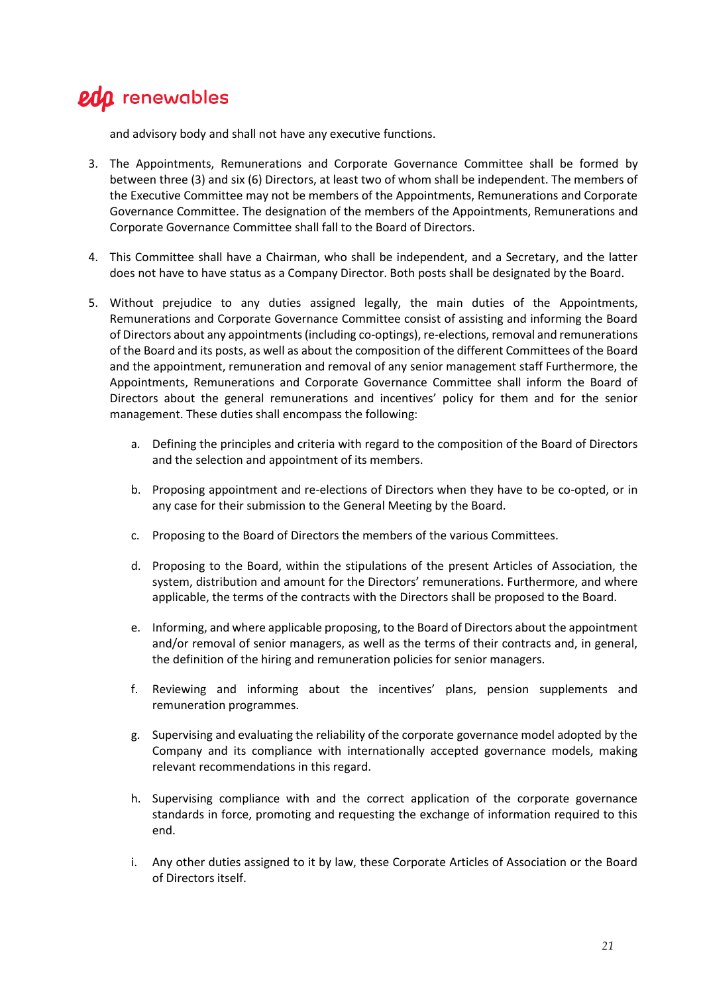and advisory body and shall not have any executive functions.

- 3. The Appointments, Remunerations and Corporate Governance Committee shall be formed by between three (3) and six (6) Directors, at least two of whom shall be independent. The members of the Executive Committee may not be members of the Appointments, Remunerations and Corporate Governance Committee. The designation of the members of the Appointments, Remunerations and Corporate Governance Committee shall fall to the Board of Directors.
- 4. This Committee shall have a Chairman, who shall be independent, and a Secretary, and the latter does not have to have status as a Company Director. Both posts shall be designated by the Board.
- 5. Without prejudice to any duties assigned legally, the main duties of the Appointments, Remunerations and Corporate Governance Committee consist of assisting and informing the Board of Directors about any appointments (including co-optings), re-elections, removal and remunerations of the Board and its posts, as well as about the composition of the different Committees of the Board and the appointment, remuneration and removal of any senior management staff Furthermore, the Appointments, Remunerations and Corporate Governance Committee shall inform the Board of Directors about the general remunerations and incentives' policy for them and for the senior management. These duties shall encompass the following:
	- a. Defining the principles and criteria with regard to the composition of the Board of Directors and the selection and appointment of its members.
	- b. Proposing appointment and re-elections of Directors when they have to be co-opted, or in any case for their submission to the General Meeting by the Board.
	- c. Proposing to the Board of Directors the members of the various Committees.
	- d. Proposing to the Board, within the stipulations of the present Articles of Association, the system, distribution and amount for the Directors' remunerations. Furthermore, and where applicable, the terms of the contracts with the Directors shall be proposed to the Board.
	- e. Informing, and where applicable proposing, to the Board of Directors about the appointment and/or removal of senior managers, as well as the terms of their contracts and, in general, the definition of the hiring and remuneration policies for senior managers.
	- f. Reviewing and informing about the incentives' plans, pension supplements and remuneration programmes.
	- g. Supervising and evaluating the reliability of the corporate governance model adopted by the Company and its compliance with internationally accepted governance models, making relevant recommendations in this regard.
	- h. Supervising compliance with and the correct application of the corporate governance standards in force, promoting and requesting the exchange of information required to this end.
	- i. Any other duties assigned to it by law, these Corporate Articles of Association or the Board of Directors itself.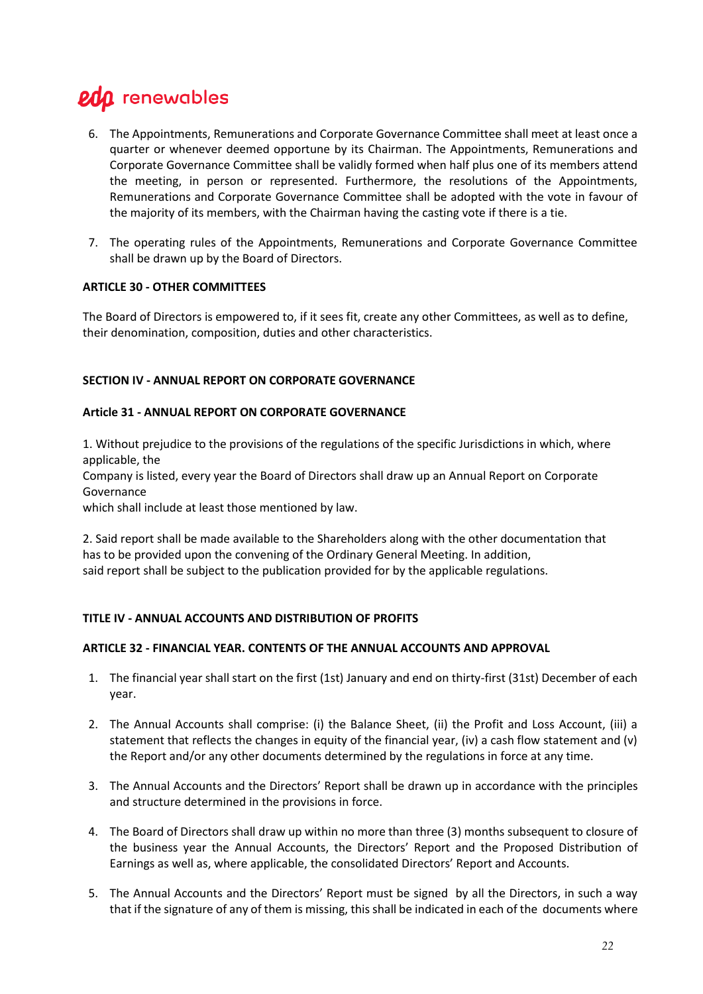- 6. The Appointments, Remunerations and Corporate Governance Committee shall meet at least once a quarter or whenever deemed opportune by its Chairman. The Appointments, Remunerations and Corporate Governance Committee shall be validly formed when half plus one of its members attend the meeting, in person or represented. Furthermore, the resolutions of the Appointments, Remunerations and Corporate Governance Committee shall be adopted with the vote in favour of the majority of its members, with the Chairman having the casting vote if there is a tie.
- 7. The operating rules of the Appointments, Remunerations and Corporate Governance Committee shall be drawn up by the Board of Directors.

#### **ARTICLE 30 - OTHER COMMITTEES**

The Board of Directors is empowered to, if it sees fit, create any other Committees, as well as to define, their denomination, composition, duties and other characteristics.

#### **SECTION IV - ANNUAL REPORT ON CORPORATE GOVERNANCE**

#### **Article 31 - ANNUAL REPORT ON CORPORATE GOVERNANCE**

1. Without prejudice to the provisions of the regulations of the specific Jurisdictions in which, where applicable, the

Company is listed, every year the Board of Directors shall draw up an Annual Report on Corporate Governance

which shall include at least those mentioned by law.

2. Said report shall be made available to the Shareholders along with the other documentation that has to be provided upon the convening of the Ordinary General Meeting. In addition, said report shall be subject to the publication provided for by the applicable regulations.

#### **TITLE IV - ANNUAL ACCOUNTS AND DISTRIBUTION OF PROFITS**

#### **ARTICLE 32 - FINANCIAL YEAR. CONTENTS OF THE ANNUAL ACCOUNTS AND APPROVAL**

- 1. The financial year shall start on the first (1st) January and end on thirty-first (31st) December of each year.
- 2. The Annual Accounts shall comprise: (i) the Balance Sheet, (ii) the Profit and Loss Account, (iii) a statement that reflects the changes in equity of the financial year, (iv) a cash flow statement and (v) the Report and/or any other documents determined by the regulations in force at any time.
- 3. The Annual Accounts and the Directors' Report shall be drawn up in accordance with the principles and structure determined in the provisions in force.
- 4. The Board of Directors shall draw up within no more than three (3) months subsequent to closure of the business year the Annual Accounts, the Directors' Report and the Proposed Distribution of Earnings as well as, where applicable, the consolidated Directors' Report and Accounts.
- 5. The Annual Accounts and the Directors' Report must be signed by all the Directors, in such a way that if the signature of any of them is missing, this shall be indicated in each of the documents where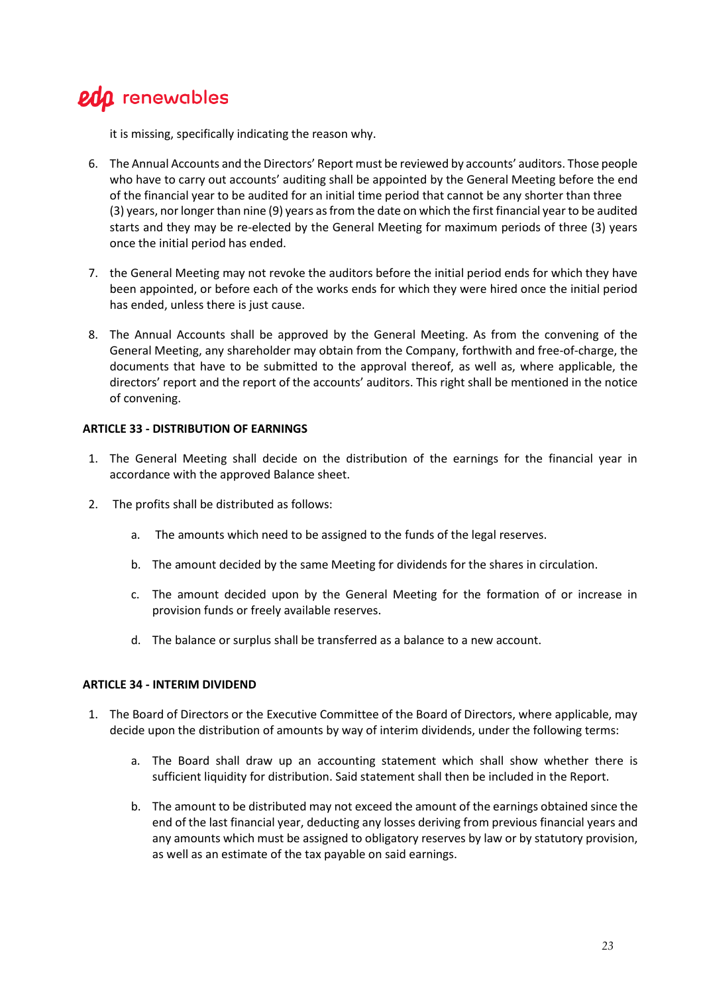it is missing, specifically indicating the reason why.

- 6. The Annual Accounts and the Directors' Report must be reviewed by accounts' auditors. Those people who have to carry out accounts' auditing shall be appointed by the General Meeting before the end of the financial year to be audited for an initial time period that cannot be any shorter than three (3) years, nor longer than nine (9) years as from the date on which the first financial year to be audited starts and they may be re-elected by the General Meeting for maximum periods of three (3) years once the initial period has ended.
- 7. the General Meeting may not revoke the auditors before the initial period ends for which they have been appointed, or before each of the works ends for which they were hired once the initial period has ended, unless there is just cause.
- 8. The Annual Accounts shall be approved by the General Meeting. As from the convening of the General Meeting, any shareholder may obtain from the Company, forthwith and free-of-charge, the documents that have to be submitted to the approval thereof, as well as, where applicable, the directors' report and the report of the accounts' auditors. This right shall be mentioned in the notice of convening.

#### **ARTICLE 33 - DISTRIBUTION OF EARNINGS**

- 1. The General Meeting shall decide on the distribution of the earnings for the financial year in accordance with the approved Balance sheet.
- 2. The profits shall be distributed as follows:
	- a. The amounts which need to be assigned to the funds of the legal reserves.
	- b. The amount decided by the same Meeting for dividends for the shares in circulation.
	- c. The amount decided upon by the General Meeting for the formation of or increase in provision funds or freely available reserves.
	- d. The balance or surplus shall be transferred as a balance to a new account.

#### **ARTICLE 34 - INTERIM DIVIDEND**

- 1. The Board of Directors or the Executive Committee of the Board of Directors, where applicable, may decide upon the distribution of amounts by way of interim dividends, under the following terms:
	- a. The Board shall draw up an accounting statement which shall show whether there is sufficient liquidity for distribution. Said statement shall then be included in the Report.
	- b. The amount to be distributed may not exceed the amount of the earnings obtained since the end of the last financial year, deducting any losses deriving from previous financial years and any amounts which must be assigned to obligatory reserves by law or by statutory provision, as well as an estimate of the tax payable on said earnings.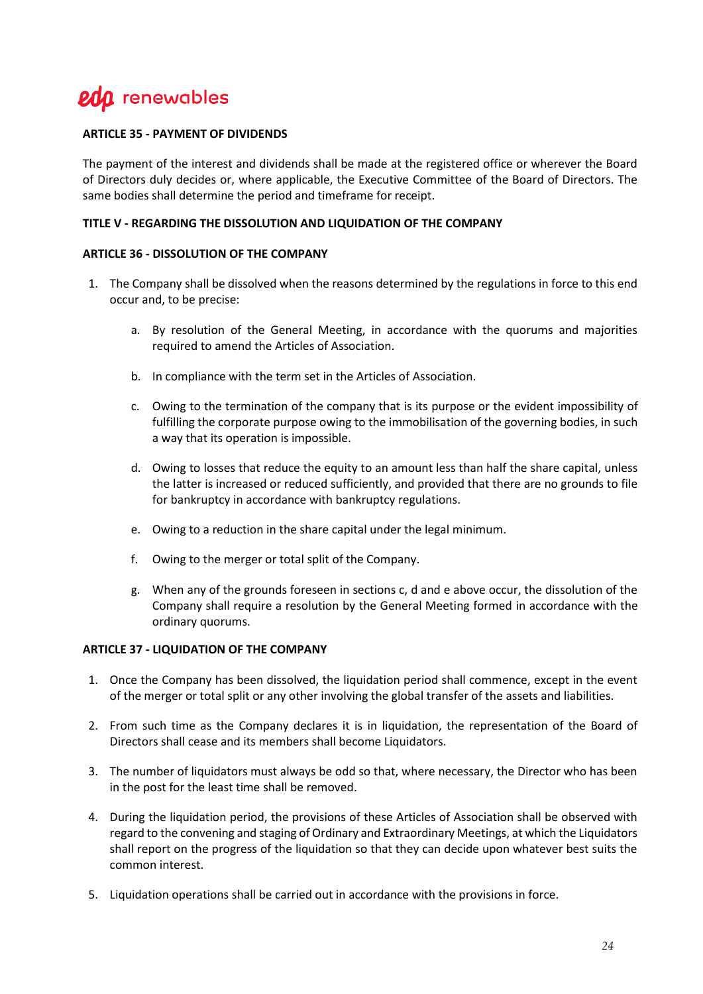#### **ARTICLE 35 - PAYMENT OF DIVIDENDS**

The payment of the interest and dividends shall be made at the registered office or wherever the Board of Directors duly decides or, where applicable, the Executive Committee of the Board of Directors. The same bodies shall determine the period and timeframe for receipt.

#### **TITLE V - REGARDING THE DISSOLUTION AND LIQUIDATION OF THE COMPANY**

#### **ARTICLE 36 - DISSOLUTION OF THE COMPANY**

- 1. The Company shall be dissolved when the reasons determined by the regulations in force to this end occur and, to be precise:
	- a. By resolution of the General Meeting, in accordance with the quorums and majorities required to amend the Articles of Association.
	- b. In compliance with the term set in the Articles of Association.
	- c. Owing to the termination of the company that is its purpose or the evident impossibility of fulfilling the corporate purpose owing to the immobilisation of the governing bodies, in such a way that its operation is impossible.
	- d. Owing to losses that reduce the equity to an amount less than half the share capital, unless the latter is increased or reduced sufficiently, and provided that there are no grounds to file for bankruptcy in accordance with bankruptcy regulations.
	- e. Owing to a reduction in the share capital under the legal minimum.
	- f. Owing to the merger or total split of the Company.
	- g. When any of the grounds foreseen in sections c, d and e above occur, the dissolution of the Company shall require a resolution by the General Meeting formed in accordance with the ordinary quorums.

#### **ARTICLE 37 - LIQUIDATION OF THE COMPANY**

- 1. Once the Company has been dissolved, the liquidation period shall commence, except in the event of the merger or total split or any other involving the global transfer of the assets and liabilities.
- 2. From such time as the Company declares it is in liquidation, the representation of the Board of Directors shall cease and its members shall become Liquidators.
- 3. The number of liquidators must always be odd so that, where necessary, the Director who has been in the post for the least time shall be removed.
- 4. During the liquidation period, the provisions of these Articles of Association shall be observed with regard to the convening and staging of Ordinary and Extraordinary Meetings, at which the Liquidators shall report on the progress of the liquidation so that they can decide upon whatever best suits the common interest.
- 5. Liquidation operations shall be carried out in accordance with the provisions in force.